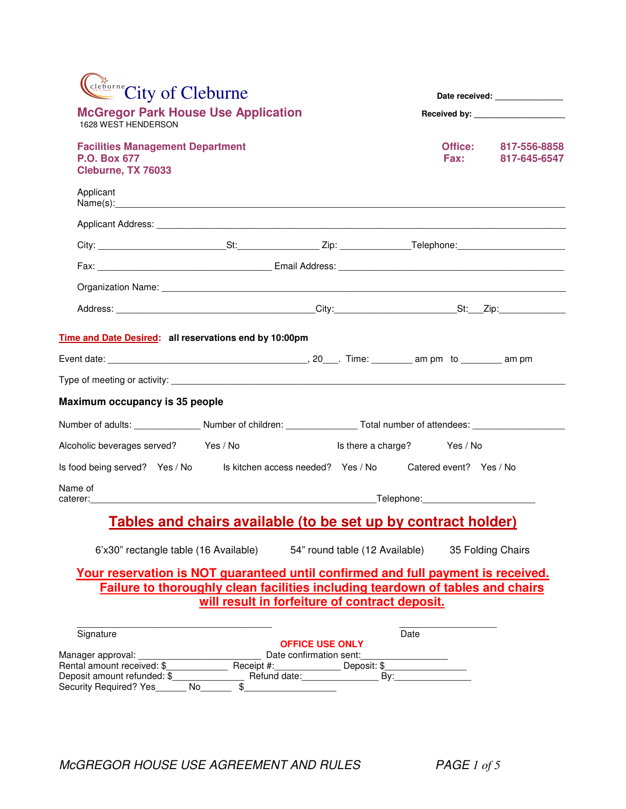| City of Cleburne                                                                                                                                                                                                              |                                                |                        |                             | Date received: _______________                                                                                                                                                                                                                                         |  |
|-------------------------------------------------------------------------------------------------------------------------------------------------------------------------------------------------------------------------------|------------------------------------------------|------------------------|-----------------------------|------------------------------------------------------------------------------------------------------------------------------------------------------------------------------------------------------------------------------------------------------------------------|--|
| <b>McGregor Park House Use Application</b><br>1628 WEST HENDERSON                                                                                                                                                             |                                                |                        |                             |                                                                                                                                                                                                                                                                        |  |
| <b>Facilities Management Department</b><br><b>P.O. Box 677</b><br>Cleburne, TX 76033                                                                                                                                          |                                                |                        |                             | Office: 817-556-8858<br>Fax: The Second Second Second Second Second Second Second Second Second Second Second Second Second Second Second Second Second Second Second Second Second Second Second Second Second Second Second Second Second Second Sec<br>817-645-6547 |  |
| Applicant                                                                                                                                                                                                                     |                                                |                        |                             |                                                                                                                                                                                                                                                                        |  |
|                                                                                                                                                                                                                               |                                                |                        |                             |                                                                                                                                                                                                                                                                        |  |
|                                                                                                                                                                                                                               |                                                |                        |                             |                                                                                                                                                                                                                                                                        |  |
|                                                                                                                                                                                                                               |                                                |                        |                             |                                                                                                                                                                                                                                                                        |  |
|                                                                                                                                                                                                                               |                                                |                        |                             |                                                                                                                                                                                                                                                                        |  |
|                                                                                                                                                                                                                               |                                                |                        |                             |                                                                                                                                                                                                                                                                        |  |
| Time and Date Desired: all reservations end by 10:00pm                                                                                                                                                                        |                                                |                        |                             |                                                                                                                                                                                                                                                                        |  |
|                                                                                                                                                                                                                               |                                                |                        |                             |                                                                                                                                                                                                                                                                        |  |
| Type of meeting or activity: Letter and the state of the state of the state of the state of the state of the state of the state of the state of the state of the state of the state of the state of the state of the state of |                                                |                        |                             |                                                                                                                                                                                                                                                                        |  |
| Maximum occupancy is 35 people                                                                                                                                                                                                |                                                |                        |                             |                                                                                                                                                                                                                                                                        |  |
| Number of adults: _______________Number of children: ____________________________ Total number of attendees: ___                                                                                                              |                                                |                        |                             |                                                                                                                                                                                                                                                                        |  |
| Alcoholic beverages served? Yes / No                                                                                                                                                                                          |                                                |                        | Is there a charge? Yes / No |                                                                                                                                                                                                                                                                        |  |
| Is food being served? Yes / No Is kitchen access needed? Yes / No Catered event? Yes / No                                                                                                                                     |                                                |                        |                             |                                                                                                                                                                                                                                                                        |  |
| Name of                                                                                                                                                                                                                       |                                                |                        |                             |                                                                                                                                                                                                                                                                        |  |
| <u>Tables and chairs available (to be set up by contract holder)</u>                                                                                                                                                          |                                                |                        |                             |                                                                                                                                                                                                                                                                        |  |
| 6'x30" rectangle table (16 Available) 54" round table (12 Available)                                                                                                                                                          |                                                |                        |                             | 35 Folding Chairs                                                                                                                                                                                                                                                      |  |
| Your reservation is NOT guaranteed until confirmed and full payment is received.<br><b>Failure to thoroughly clean facilities including teardown of tables and chairs</b>                                                     |                                                |                        |                             |                                                                                                                                                                                                                                                                        |  |
|                                                                                                                                                                                                                               | will result in forfeiture of contract deposit. |                        |                             |                                                                                                                                                                                                                                                                        |  |
|                                                                                                                                                                                                                               |                                                |                        |                             |                                                                                                                                                                                                                                                                        |  |
| Signature                                                                                                                                                                                                                     |                                                | <b>OFFICE USE ONLY</b> | Date                        |                                                                                                                                                                                                                                                                        |  |
|                                                                                                                                                                                                                               |                                                |                        |                             |                                                                                                                                                                                                                                                                        |  |
|                                                                                                                                                                                                                               | Refund date: By:                               |                        |                             |                                                                                                                                                                                                                                                                        |  |
| Deposit amount refunded: \$<br>Security Required? Yes                                                                                                                                                                         | $\overline{\$}$<br>No control                  |                        |                             |                                                                                                                                                                                                                                                                        |  |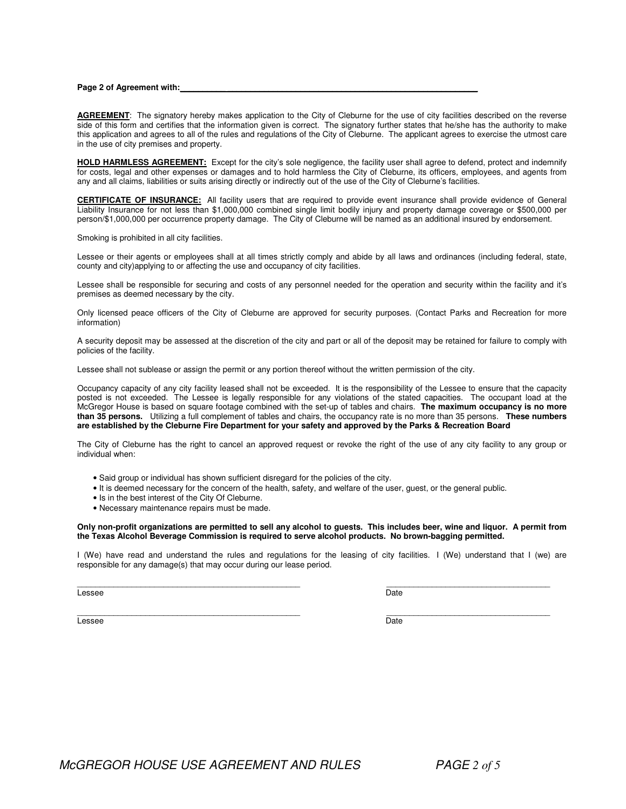#### **Page 2 of Agreement with:**

AGREEMENT: The signatory hereby makes application to the City of Cleburne for the use of city facilities described on the reverse side of this form and certifies that the information given is correct. The signatory further states that he/she has the authority to make this application and agrees to all of the rules and regulations of the City of Cleburne. The applicant agrees to exercise the utmost care in the use of city premises and property.

**HOLD HARMLESS AGREEMENT:** Except for the city's sole negligence, the facility user shall agree to defend, protect and indemnify for costs, legal and other expenses or damages and to hold harmless the City of Cleburne, its officers, employees, and agents from any and all claims, liabilities or suits arising directly or indirectly out of the use of the City of Cleburne's facilities.

**CERTIFICATE OF INSURANCE:** All facility users that are required to provide event insurance shall provide evidence of General Liability Insurance for not less than \$1,000,000 combined single limit bodily injury and property damage coverage or \$500,000 per person/\$1,000,000 per occurrence property damage. The City of Cleburne will be named as an additional insured by endorsement.

Smoking is prohibited in all city facilities.

Lessee or their agents or employees shall at all times strictly comply and abide by all laws and ordinances (including federal, state, county and city)applying to or affecting the use and occupancy of city facilities.

Lessee shall be responsible for securing and costs of any personnel needed for the operation and security within the facility and it's premises as deemed necessary by the city.

Only licensed peace officers of the City of Cleburne are approved for security purposes. (Contact Parks and Recreation for more information)

A security deposit may be assessed at the discretion of the city and part or all of the deposit may be retained for failure to comply with policies of the facility.

Lessee shall not sublease or assign the permit or any portion thereof without the written permission of the city.

Occupancy capacity of any city facility leased shall not be exceeded. It is the responsibility of the Lessee to ensure that the capacity posted is not exceeded. The Lessee is legally responsible for any violations of the stated capacities. The occupant load at the McGregor House is based on square footage combined with the set-up of tables and chairs. **The maximum occupancy is no more than 35 persons.** Utilizing a full complement of tables and chairs, the occupancy rate is no more than 35 persons. **These numbers** are established by the Cleburne Fire Department for your safety and approved by the Parks & Recreation Board

The City of Cleburne has the right to cancel an approved request or revoke the right of the use of any city facility to any group or individual when:

- Said group or individual has shown sufficient disregard for the policies of the city.
- It is deemed necessary for the concern of the health, safety, and welfare of the user, guest, or the general public.
- Is in the best interest of the City Of Cleburne.
- Necessary maintenance repairs must be made.

### Only non-profit organizations are permitted to sell any alcohol to quests. This includes beer, wine and liquor. A permit from **the Texas Alcohol Beverage Commission is required to serve alcohol products. No brown-bagging permitted.**

I (We) have read and understand the rules and regulations for the leasing of city facilities. I (We) understand that I (we) are responsible for any damage(s) that may occur during our lease period.

\_\_\_\_\_\_\_\_\_\_\_\_\_\_\_\_\_\_\_\_\_\_\_\_\_\_\_\_\_\_\_\_\_\_\_\_\_\_\_\_\_\_\_\_\_\_\_\_\_ \_\_\_\_\_\_\_\_\_\_\_\_\_\_\_\_\_\_\_\_\_\_\_\_\_\_\_\_\_\_\_\_\_\_\_\_

Lessee Date Date of the Date of the Date of the Date of the Date of the Date of the Date of the Date of the Da

\_\_\_\_\_\_\_\_\_\_\_\_\_\_\_\_\_\_\_\_\_\_\_\_\_\_\_\_\_\_\_\_\_\_\_\_\_\_\_\_\_\_\_\_\_\_\_\_\_ \_\_\_\_\_\_\_\_\_\_\_\_\_\_\_\_\_\_\_\_\_\_\_\_\_\_\_\_\_\_\_\_\_\_\_\_ Lessee Date Date of the Date of the Date of the Date of the Date of the Date of the Date of the Date of the Da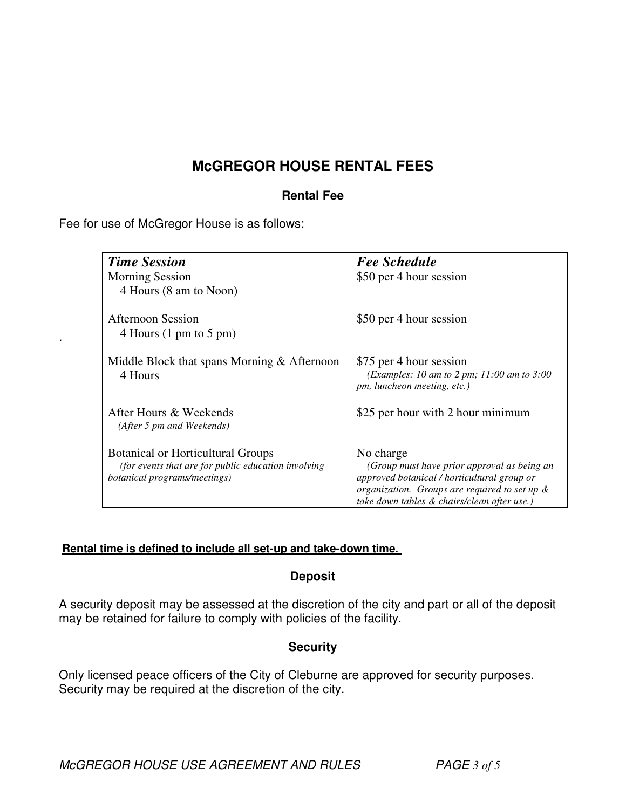# **McGREGOR HOUSE RENTAL FEES**

## **Rental Fee**

Fee for use of McGregor House is as follows:

.

| <b>Time Session</b>                                                                  | <b>Fee Schedule</b>                                                                        |  |  |
|--------------------------------------------------------------------------------------|--------------------------------------------------------------------------------------------|--|--|
| <b>Morning Session</b>                                                               | \$50 per 4 hour session                                                                    |  |  |
| 4 Hours (8 am to Noon)                                                               |                                                                                            |  |  |
| <b>Afternoon Session</b>                                                             | \$50 per 4 hour session                                                                    |  |  |
| 4 Hours $(1 \text{ pm to } 5 \text{ pm})$                                            |                                                                                            |  |  |
| Middle Block that spans Morning $&$ Afternoon                                        | \$75 per 4 hour session                                                                    |  |  |
| 4 Hours                                                                              | (Examples: 10 am to 2 pm; 11:00 am to 3:00<br>pm, luncheon meeting, etc.)                  |  |  |
| After Hours & Weekends                                                               | \$25 per hour with 2 hour minimum                                                          |  |  |
| (After 5 pm and Weekends)                                                            |                                                                                            |  |  |
| <b>Botanical or Horticultural Groups</b>                                             | No charge                                                                                  |  |  |
| (for events that are for public education involving)<br>botanical programs/meetings) | (Group must have prior approval as being an<br>approved botanical / horticultural group or |  |  |
|                                                                                      | organization. Groups are required to set up $\&$                                           |  |  |
|                                                                                      | take down tables & chairs/clean after use.)                                                |  |  |

### **Rental time is defined to include all set-up and take-down time.**

### **Deposit**

A security deposit may be assessed at the discretion of the city and part or all of the deposit may be retained for failure to comply with policies of the facility.

## **Security**

Only licensed peace officers of the City of Cleburne are approved for security purposes. Security may be required at the discretion of the city.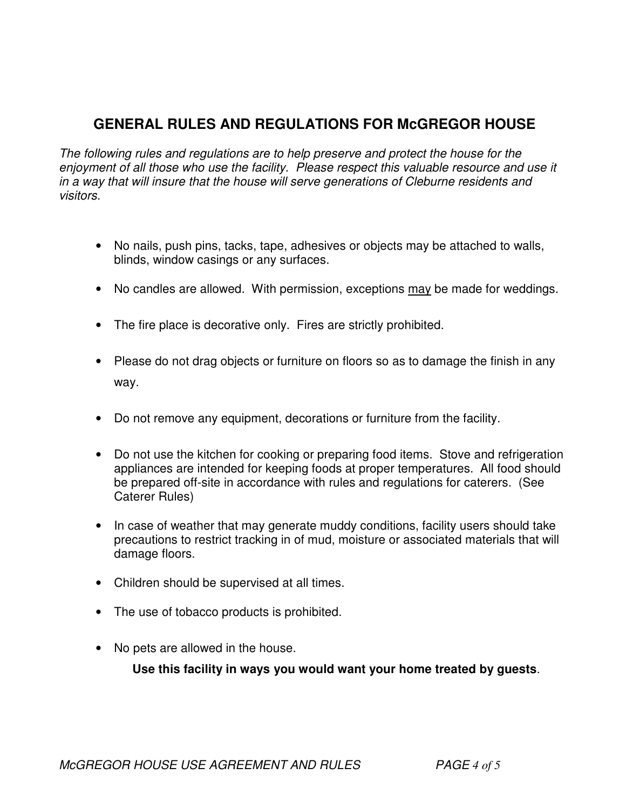# **GENERAL RULES AND REGULATIONS FOR McGREGOR HOUSE**

*The following rules and regulations are to help preserve and protect the house for the enjoyment of all those who use the facility. Please respect this valuable resource and use it in a way that will insure that the house will serve generations of Cleburne residents and visitors.*

- No nails, push pins, tacks, tape, adhesives or objects may be attached to walls, blinds, window casings or any surfaces.
- No candles are allowed. With permission, exceptions may be made for weddings.
- The fire place is decorative only. Fires are strictly prohibited.
- Please do not drag objects or furniture on floors so as to damage the finish in any way.
- Do not remove any equipment, decorations or furniture from the facility.
- Do not use the kitchen for cooking or preparing food items. Stove and refrigeration appliances are intended for keeping foods at proper temperatures. All food should be prepared off-site in accordance with rules and regulations for caterers. (See Caterer Rules)
- In case of weather that may generate muddy conditions, facility users should take precautions to restrict tracking in of mud, moisture or associated materials that will damage floors.
- Children should be supervised at all times.
- The use of tobacco products is prohibited.
- No pets are allowed in the house.

**Use this facility in ways you would want your home treated by guests**.